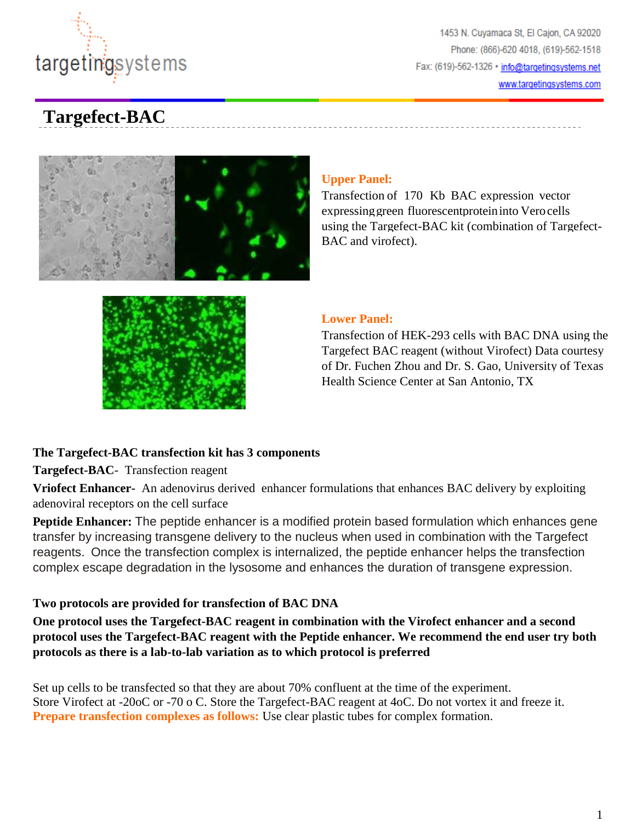

# **Targefect-BAC**





### **Upper Panel:**

Transfection of 170 Kb BAC expression vector expressing green fluorescent protein into Vero cells using the Targefect-BAC kit (combination of Targefect-BAC and virofect).

#### **Lower Panel:**

Transfection of HEK-293 cells with BAC DNA using the Targefect BAC reagent (without Virofect) Data courtesy of Dr. Fuchen Zhou and Dr. S. Gao, University of Texas Health Science Center at San Antonio, TX

### **The Targefect-BAC transfection kit has 3 components**

**Targefect-BAC**- Transfection reagent

**Vriofect Enhancer-** An adenovirus derived enhancer formulations that enhances BAC delivery by exploiting adenoviral receptors on the cell surface

**Peptide Enhancer:** The peptide enhancer is a modified protein based formulation which enhances gene transfer by increasing transgene delivery to the nucleus when used in combination with the Targefect reagents.Once the transfection complex is internalized, the peptide enhancer helps the transfection complex escape degradation in the lysosome and enhances the duration of transgene expression.

## **Two protocols are provided for transfection of BAC DNA**

**One protocol uses the Targefect-BAC reagent in combination with the Virofect enhancer and a second protocol uses the Targefect-BAC reagent with the Peptide enhancer. We recommend the end user try both protocols as there is a lab-to-lab variation as to which protocol is preferred**

Set up cells to be transfected so that they are about 70% confluent at the time of the experiment. Store Virofect at -20oC or -70 o C. Store the Targefect-BAC reagent at 4oC. Do not vortex it and freeze it. **Prepare transfection complexes as follows:** Use clear plastic tubes for complex formation.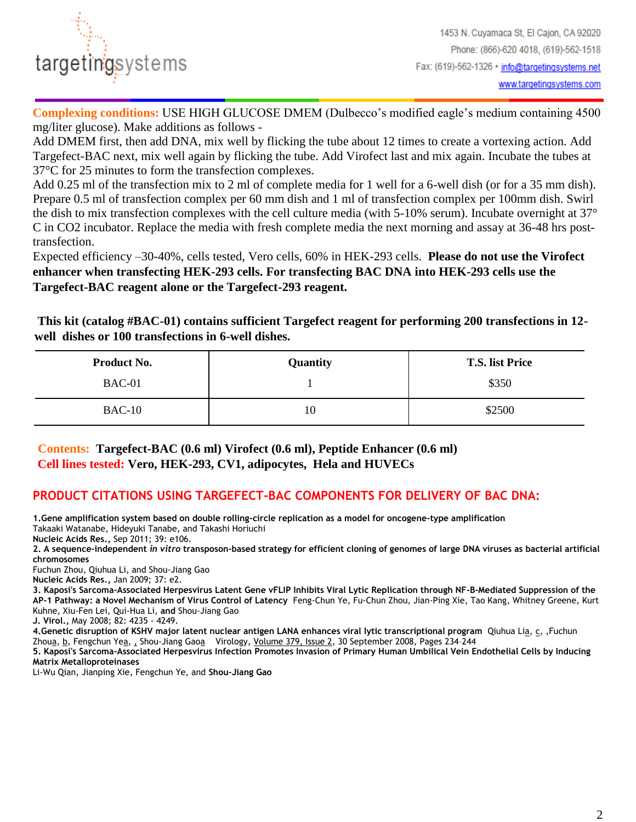

**Complexing conditions:** USE HIGH GLUCOSE DMEM (Dulbecco's modified eagle's medium containing 4500 mg/liter glucose). Make additions as follows -

Add DMEM first, then add DNA, mix well by flicking the tube about 12 times to create a vortexing action. Add Targefect-BAC next, mix well again by flicking the tube. Add Virofect last and mix again. Incubate the tubes at 37°C for 25 minutes to form the transfection complexes.

Add 0.25 ml of the transfection mix to 2 ml of complete media for 1 well for a 6-well dish (or for a 35 mm dish). Prepare 0.5 ml of transfection complex per 60 mm dish and 1 ml of transfection complex per 100mm dish. Swirl the dish to mix transfection complexes with the cell culture media (with 5-10% serum). Incubate overnight at 37° C in CO2 incubator. Replace the media with fresh complete media the next morning and assay at 36-48 hrs posttransfection.

Expected efficiency –30-40%, cells tested, Vero cells, 60% in HEK-293 cells. **Please do not use the Virofect enhancer when transfecting HEK-293 cells. For transfecting BAC DNA into HEK-293 cells use the Targefect-BAC reagent alone or the Targefect-293 reagent.**

**This kit (catalog #BAC-01) contains sufficient Targefect reagent for performing 200 transfections in 12 well dishes or 100 transfections in 6-well dishes.**

| Product No. | <b>Quantity</b> | <b>T.S.</b> list Price |
|-------------|-----------------|------------------------|
| $BAC-01$    |                 | \$350                  |
| $BAC-10$    | 10              | \$2500                 |

**Contents: Targefect-BAC (0.6 ml) Virofect (0.6 ml), Peptide Enhancer (0.6 ml) Cell lines tested: Vero, HEK-293, CV1, adipocytes, Hela and HUVECs**

## **PRODUCT CITATIONS USING TARGEFECT-BAC COMPONENTS FOR DELIVERY OF BAC DNA:**

**1.Gene amplification system based on double rolling-circle replication as a model for oncogene-type amplification** Takaaki Watanabe, Hideyuki Tanabe, and Takashi Horiuchi

**Nucleic Acids Res.,** Sep 2011; 39: e106.

**2. A sequence-independent** *in vitro* **transposon-based strategy for efficient cloning of genomes of large DNA viruses as bacterial artificial chromosomes**

Fuchun Zhou, Qiuhua Li, and Shou-Jiang Gao

**Nucleic Acids Res.,** Jan 2009; 37: e2.

**3. Kaposi's Sarcoma-Associated Herpesvirus Latent Gene vFLIP Inhibits Viral Lytic Replication through NF-B-Mediated Suppression of the AP-1 Pathway: a Novel Mechanism of Virus Control of Latency** Feng-Chun Ye, Fu-Chun Zhou, Jian-Ping Xie, Tao Kang, Whitney Greene, Kurt Kuhne, Xiu-Fen Lei, Qui-Hua Li, **and** Shou-Jiang Gao

**J. Virol.,** May 2008; 82: 4235 - 4249.

**4.Genetic disruption of KSHV major latent nuclear antigen LANA enhances viral lytic transcriptional program** Qiuhua [Lia,](http://www.sciencedirect.com/science/article/pii/S0042682208004364#aff1) [c,](http://www.sciencedirect.com/science/article/pii/S0042682208004364#aff3) ,Fuchun Zho[ua,](http://www.sciencedirect.com/science/article/pii/S0042682208004364#aff1) [b,](http://www.sciencedirect.com/science/article/pii/S0042682208004364#aff2) Fengchun Y[ea,](http://www.sciencedirect.com/science/article/pii/S0042682208004364#aff1) [,](http://www.sciencedirect.com/science/article/pii/S0042682208004364#aff2) Shou-Jiang Ga[oa](http://www.sciencedirect.com/science/article/pii/S0042682208004364#aff1) Virology, [Volume 379, Issue 2,](http://www.sciencedirect.com/science/journal/00426822/379/2) 30 September 2008, Pages 234–244

**5. Kaposi's Sarcoma-Associated Herpesvirus Infection Promotes Invasion of Primary Human Umbilical Vein Endothelial Cells by Inducing Matrix Metalloproteinases**

Li-Wu Qian, Jianping Xie, Fengchun Ye, and **Shou-Jiang Gao**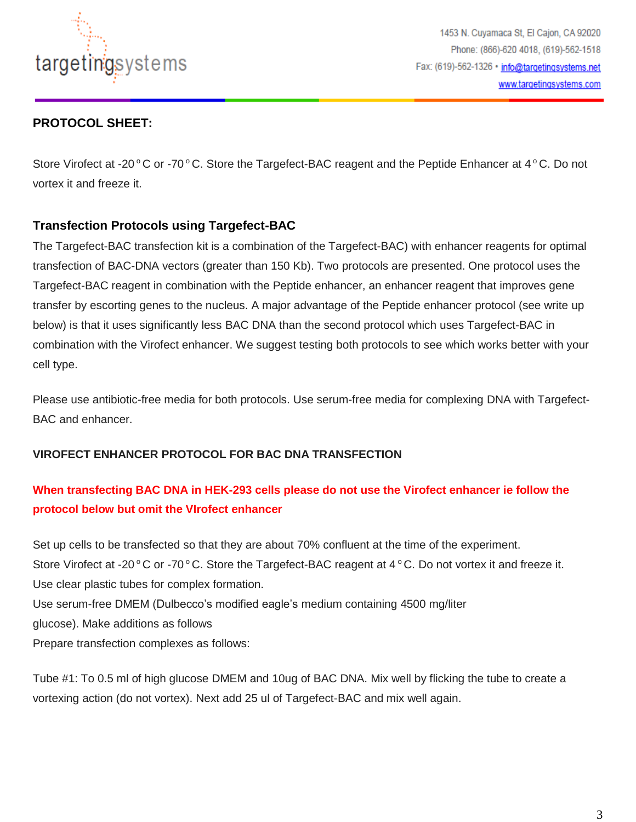

1453 N. Cuyamaca St, El Cajon, CA 92020 Phone: (866)-620 4018, (619)-562-1518 Fax: (619)-562-1326 · info@targetingsystems.net www.targetingsystems.com

## **PROTOCOL SHEET:**

Store Virofect at -20  $\rm{^{\circ}C}$  or -70  $\rm{^{\circ}C}$ . Store the Targefect-BAC reagent and the Peptide Enhancer at 4  $\rm{^{\circ}C}$ . Do not vortex it and freeze it.

## **Transfection Protocols using Targefect-BAC**

The Targefect-BAC transfection kit is a combination of the Targefect-BAC) with enhancer reagents for optimal transfection of BAC-DNA vectors (greater than 150 Kb). Two protocols are presented. One protocol uses the Targefect-BAC reagent in combination with the Peptide enhancer, an enhancer reagent that improves gene transfer by escorting genes to the nucleus. A major advantage of the Peptide enhancer protocol (see write up below) is that it uses significantly less BAC DNA than the second protocol which uses Targefect-BAC in combination with the Virofect enhancer. We suggest testing both protocols to see which works better with your cell type.

Please use antibiotic-free media for both protocols. Use serum-free media for complexing DNA with Targefect-BAC and enhancer.

### **VIROFECT ENHANCER PROTOCOL FOR BAC DNA TRANSFECTION**

## **When transfecting BAC DNA in HEK-293 cells please do not use the Virofect enhancer ie follow the protocol below but omit the VIrofect enhancer**

Set up cells to be transfected so that they are about 70% confluent at the time of the experiment. Store Virofect at -20 $\degree$ C or -70 $\degree$ C. Store the Targefect-BAC reagent at 4 $\degree$ C. Do not vortex it and freeze it. Use clear plastic tubes for complex formation. Use serum-free DMEM (Dulbecco's modified eagle's medium containing 4500 mg/liter glucose). Make additions as follows Prepare transfection complexes as follows:

Tube #1: To 0.5 ml of high glucose DMEM and 10ug of BAC DNA. Mix well by flicking the tube to create a vortexing action (do not vortex). Next add 25 ul of Targefect-BAC and mix well again.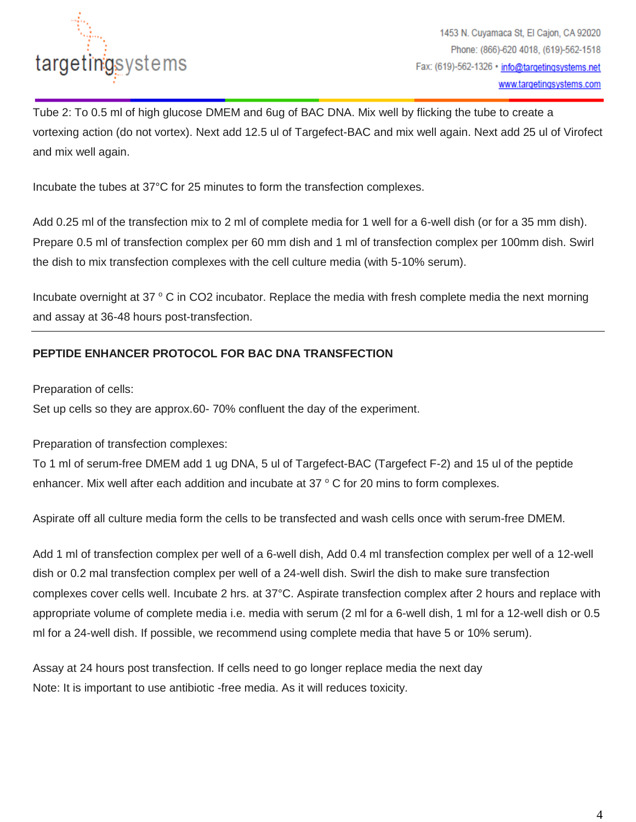

Tube 2: To 0.5 ml of high glucose DMEM and 6ug of BAC DNA. Mix well by flicking the tube to create a vortexing action (do not vortex). Next add 12.5 ul of Targefect-BAC and mix well again. Next add 25 ul of Virofect and mix well again.

Incubate the tubes at 37°C for 25 minutes to form the transfection complexes.

Add 0.25 ml of the transfection mix to 2 ml of complete media for 1 well for a 6-well dish (or for a 35 mm dish). Prepare 0.5 ml of transfection complex per 60 mm dish and 1 ml of transfection complex per 100mm dish. Swirl the dish to mix transfection complexes with the cell culture media (with 5-10% serum).

Incubate overnight at  $37 \degree$  C in CO2 incubator. Replace the media with fresh complete media the next morning and assay at 36-48 hours post-transfection.

### **PEPTIDE ENHANCER PROTOCOL FOR BAC DNA TRANSFECTION**

Preparation of cells:

Set up cells so they are approx.60- 70% confluent the day of the experiment.

Preparation of transfection complexes:

To 1 ml of serum-free DMEM add 1 ug DNA, 5 ul of Targefect-BAC (Targefect F-2) and 15 ul of the peptide enhancer. Mix well after each addition and incubate at  $37 \degree$  C for 20 mins to form complexes.

Aspirate off all culture media form the cells to be transfected and wash cells once with serum-free DMEM.

Add 1 ml of transfection complex per well of a 6-well dish, Add 0.4 ml transfection complex per well of a 12-well dish or 0.2 mal transfection complex per well of a 24-well dish. Swirl the dish to make sure transfection complexes cover cells well. Incubate 2 hrs. at 37°C. Aspirate transfection complex after 2 hours and replace with appropriate volume of complete media i.e. media with serum (2 ml for a 6-well dish, 1 ml for a 12-well dish or 0.5 ml for a 24-well dish. If possible, we recommend using complete media that have 5 or 10% serum).

Assay at 24 hours post transfection. If cells need to go longer replace media the next day Note: It is important to use antibiotic -free media. As it will reduces toxicity.